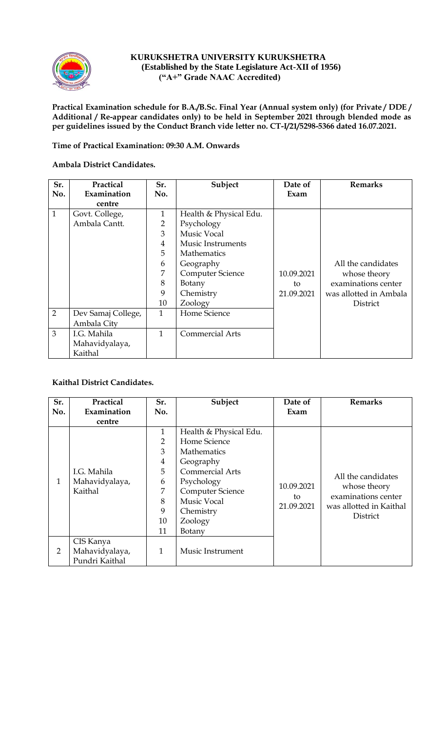

#### **KURUKSHETRA UNIVERSITY KURUKSHETRA (Established by the State Legislature Act-XII of 1956) ("A+" Grade NAAC Accredited)**

**Practical Examination schedule for B.A./B.Sc. Final Year (Annual system only) (for Private / DDE / Additional / Re-appear candidates only) to be held in September 2021 through blended mode as per guidelines issued by the Conduct Branch vide letter no. CT-I/21/5298-5366 dated 16.07.2021.**

#### **Time of Practical Examination: 09:30 A.M. Onwards**

### **Ambala District Candidates.**

| Sr.            | Practical          | Sr.            | Subject                  | Date of    | <b>Remarks</b>         |
|----------------|--------------------|----------------|--------------------------|------------|------------------------|
| No.            | Examination        | No.            |                          | Exam       |                        |
|                | centre             |                |                          |            |                        |
| $\mathbf{1}$   | Govt. College,     | $\mathbf{1}$   | Health & Physical Edu.   |            |                        |
|                | Ambala Cantt.      | $\overline{2}$ | Psychology               |            |                        |
|                |                    | 3              | <b>Music Vocal</b>       |            |                        |
|                |                    | $\overline{4}$ | <b>Music Instruments</b> |            |                        |
|                |                    | 5              | Mathematics              |            |                        |
|                |                    | 6              | Geography                |            | All the candidates     |
|                |                    | 7              | <b>Computer Science</b>  | 10.09.2021 | whose theory           |
|                |                    | 8              | Botany                   | to         | examinations center    |
|                |                    | 9              | Chemistry                | 21.09.2021 | was allotted in Ambala |
|                |                    | 10             | Zoology                  |            | District               |
| 2              | Dev Samaj College, | 1              | Home Science             |            |                        |
|                | Ambala City        |                |                          |            |                        |
| $\overline{3}$ | I.G. Mahila        | 1              | <b>Commercial Arts</b>   |            |                        |
|                | Mahavidyalaya,     |                |                          |            |                        |
|                | Kaithal            |                |                          |            |                        |

# **Kaithal District Candidates.**

| Sr.            | Practical      | Sr.            | Subject                 | Date of          | <b>Remarks</b>                      |
|----------------|----------------|----------------|-------------------------|------------------|-------------------------------------|
| No.            | Examination    | No.            |                         | Exam             |                                     |
|                | centre         |                |                         |                  |                                     |
|                |                | 1              | Health & Physical Edu.  |                  |                                     |
|                |                | 2              | Home Science            |                  |                                     |
|                |                | 3              | <b>Mathematics</b>      |                  |                                     |
|                |                | $\overline{4}$ | Geography               |                  |                                     |
|                | I.G. Mahila    | 5              | <b>Commercial Arts</b>  |                  | All the candidates                  |
| $\mathbf{1}$   | Mahavidyalaya, | 6              | Psychology              | 10.09.2021       |                                     |
|                | Kaithal        | 7              | <b>Computer Science</b> |                  | whose theory<br>examinations center |
|                |                | 8              | <b>Music Vocal</b>      | to<br>21.09.2021 |                                     |
|                |                | 9              | Chemistry               |                  | was allotted in Kaithal             |
|                |                | 10             | Zoology                 |                  | District                            |
|                |                | 11             | Botany                  |                  |                                     |
|                | CIS Kanya      |                |                         |                  |                                     |
| $\overline{2}$ | Mahavidyalaya, | 1              | Music Instrument        |                  |                                     |
|                | Pundri Kaithal |                |                         |                  |                                     |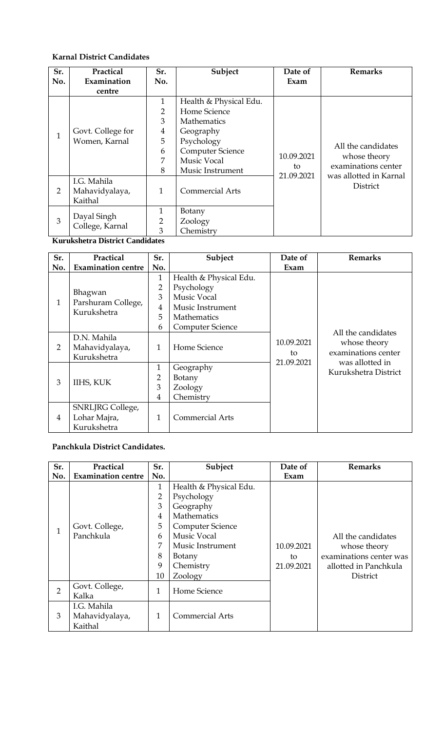# **Karnal District Candidates**

| Sr.            | Practical         | Sr.            | Subject                 | Date of          | <b>Remarks</b>         |
|----------------|-------------------|----------------|-------------------------|------------------|------------------------|
| No.            | Examination       | No.            |                         | Exam             |                        |
|                | centre            |                |                         |                  |                        |
|                |                   | $\mathbf{1}$   | Health & Physical Edu.  |                  |                        |
|                |                   | $\overline{2}$ | Home Science            |                  |                        |
|                |                   | 3              | <b>Mathematics</b>      |                  |                        |
| $\mathbf{1}$   | Govt. College for | $\overline{4}$ | Geography               |                  |                        |
|                | Women, Karnal     | 5              | Psychology              |                  |                        |
|                |                   | 6              | <b>Computer Science</b> | 10.09.2021       | All the candidates     |
|                |                   | 7              | <b>Music Vocal</b>      |                  | whose theory           |
|                |                   | 8              | Music Instrument        | to<br>21.09.2021 | examinations center    |
|                | I.G. Mahila       |                |                         |                  | was allotted in Karnal |
| $\overline{2}$ | Mahavidyalaya,    | $\mathbf{1}$   | <b>Commercial Arts</b>  |                  | District               |
|                | Kaithal           |                |                         |                  |                        |
|                |                   | 1              | Botany                  |                  |                        |
| 3              | Dayal Singh       | $\overline{2}$ | Zoology                 |                  |                        |
|                | College, Karnal   | 3              | Chemistry               |                  |                        |

**Kurukshetra District Candidates**

| Sr.            | Practical                         | Sr.            | Subject                 | Date of    | <b>Remarks</b>                                                               |
|----------------|-----------------------------------|----------------|-------------------------|------------|------------------------------------------------------------------------------|
| No.            | <b>Examination centre</b>         | No.            |                         | Exam       |                                                                              |
|                |                                   | 1              | Health & Physical Edu.  |            | All the candidates<br>whose theory<br>examinations center<br>was allotted in |
|                |                                   | 2              | Psychology              |            |                                                                              |
| 1              | Bhagwan                           | 3              | Music Vocal             |            |                                                                              |
|                | Parshuram College,<br>Kurukshetra | 4              | Music Instrument        |            |                                                                              |
|                |                                   | 5              | <b>Mathematics</b>      |            |                                                                              |
|                |                                   | 6              | <b>Computer Science</b> |            |                                                                              |
|                | D.N. Mahila                       |                | Home Science<br>to      | 10.09.2021 |                                                                              |
| 2              | Mahavidyalaya,                    | $\mathbf{1}$   |                         |            |                                                                              |
|                | Kurukshetra                       |                |                         | 21.09.2021 |                                                                              |
|                |                                   | 1              | Geography               |            | Kurukshetra District                                                         |
| 3              | IIHS, KUK                         | $\overline{2}$ | Botany                  |            |                                                                              |
|                |                                   | 3              | Zoology                 |            |                                                                              |
|                |                                   | 4              | Chemistry               |            |                                                                              |
|                | SNRLJRG College,                  |                |                         |            |                                                                              |
| $\overline{4}$ | Lohar Majra,                      | 1              | <b>Commercial Arts</b>  |            |                                                                              |
|                | Kurukshetra                       |                |                         |            |                                                                              |

## **Panchkula District Candidates.**

| Sr.            | Practical                 | Sr.            | Subject                 | Date of          | Remarks                                                       |
|----------------|---------------------------|----------------|-------------------------|------------------|---------------------------------------------------------------|
| No.            | <b>Examination centre</b> | No.            |                         | Exam             |                                                               |
|                |                           | $\mathbf{1}$   | Health & Physical Edu.  |                  |                                                               |
|                |                           | 2              | Psychology              |                  |                                                               |
|                |                           | 3              | Geography               |                  |                                                               |
|                |                           | 4              | Mathematics             |                  |                                                               |
| 1              | Govt. College,            | 5              | <b>Computer Science</b> | 10.09.2021<br>to | All the candidates<br>whose theory<br>examinations center was |
|                | Panchkula                 | 6              | Music Vocal             |                  |                                                               |
|                |                           | $\overline{7}$ | Music Instrument        |                  |                                                               |
|                |                           | 8              | Botany                  |                  |                                                               |
|                |                           | 9              | Chemistry               | 21.09.2021       | allotted in Panchkula                                         |
|                |                           | 10             | Zoology                 |                  | District                                                      |
| $\overline{2}$ | Govt. College,            | 1              | Home Science            |                  |                                                               |
|                | Kalka                     |                |                         |                  |                                                               |
|                | I.G. Mahila               |                |                         |                  |                                                               |
| 3              | Mahavidyalaya,            | 1              | <b>Commercial Arts</b>  |                  |                                                               |
|                | Kaithal                   |                |                         |                  |                                                               |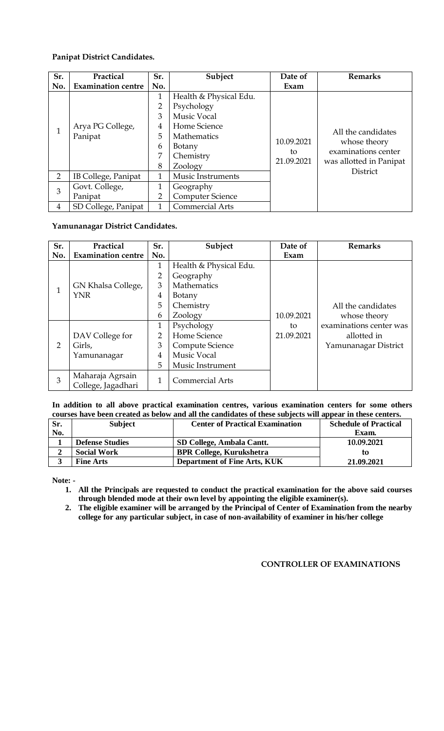#### **Panipat District Candidates.**

| Sr.            | Practical                 | Sr. | Subject                 | Date of    | <b>Remarks</b>                                                                                          |
|----------------|---------------------------|-----|-------------------------|------------|---------------------------------------------------------------------------------------------------------|
| No.            | <b>Examination centre</b> | No. |                         | Exam       |                                                                                                         |
|                | 1                         |     | Health & Physical Edu.  |            | All the candidates<br>whose theory<br>examinations center<br>was allotted in Panipat<br><b>District</b> |
|                |                           | 2   | Psychology              | 10.09.2021 |                                                                                                         |
|                |                           | 3   | <b>Music Vocal</b>      |            |                                                                                                         |
| 1              | Arya PG College,          | 4   | Home Science            |            |                                                                                                         |
|                | Panipat                   | 5   | Mathematics             |            |                                                                                                         |
|                |                           | 6   | Botany                  |            |                                                                                                         |
|                |                           | 7   | Chemistry               | to         |                                                                                                         |
|                |                           | 8   | Zoology                 | 21.09.2021 |                                                                                                         |
| $\overline{2}$ | IB College, Panipat       | 1   | Music Instruments       |            |                                                                                                         |
| 3              | Govt. College,            | 1   | Geography               |            |                                                                                                         |
|                | Panipat                   | 2   | <b>Computer Science</b> |            |                                                                                                         |
| 4              | SD College, Panipat       | 1   | <b>Commercial Arts</b>  |            |                                                                                                         |

### **Yamunanagar District Candidates.**

| Sr.          | Practical                              | Sr.            | Subject                | Date of    | <b>Remarks</b>          |
|--------------|----------------------------------------|----------------|------------------------|------------|-------------------------|
| No.          | <b>Examination centre</b>              | No.            |                        | Exam       |                         |
|              |                                        | 1              | Health & Physical Edu. |            |                         |
|              |                                        | $\overline{2}$ | Geography              |            |                         |
|              | GN Khalsa College,                     | 3              | Mathematics            |            |                         |
| $\mathbf{1}$ | <b>YNR</b>                             | 4              | Botany                 |            |                         |
|              |                                        | 5              | Chemistry              |            | All the candidates      |
|              |                                        | 6              | Zoology                | 10.09.2021 | whose theory            |
|              |                                        | 1              | Psychology             | to         | examinations center was |
|              | DAV College for                        | $\overline{2}$ | Home Science           | 21.09.2021 | allotted in             |
| 2            | Girls,                                 | 3              | Compute Science        |            | Yamunanagar District    |
|              | Yamunanagar                            | 4              | <b>Music Vocal</b>     |            |                         |
|              |                                        | 5              | Music Instrument       |            |                         |
| 3            | Maharaja Agrsain<br>College, Jagadhari | 1              | <b>Commercial Arts</b> |            |                         |

#### **In addition to all above practical examination centres, various examination centers for some others courses have been created as below and all the candidates of these subjects will appear in these centers.**

| Sr. | <b>Subject</b>         | <b>Center of Practical Examination</b> | <b>Schedule of Practical</b> |
|-----|------------------------|----------------------------------------|------------------------------|
| No. |                        |                                        | Exam.                        |
|     | <b>Defense Studies</b> | SD College, Ambala Cantt.              | 10.09.2021                   |
|     | <b>Social Work</b>     | <b>BPR College, Kurukshetra</b>        | tΟ                           |
|     | <b>Fine Arts</b>       | <b>Department of Fine Arts, KUK</b>    | 21.09.2021                   |

**Note: -**

**1. All the Principals are requested to conduct the practical examination for the above said courses through blended mode at their own level by appointing the eligible examiner(s).**

**2. The eligible examiner will be arranged by the Principal of Center of Examination from the nearby college for any particular subject, in case of non-availability of examiner in his/her college**

### **CONTROLLER OF EXAMINATIONS**